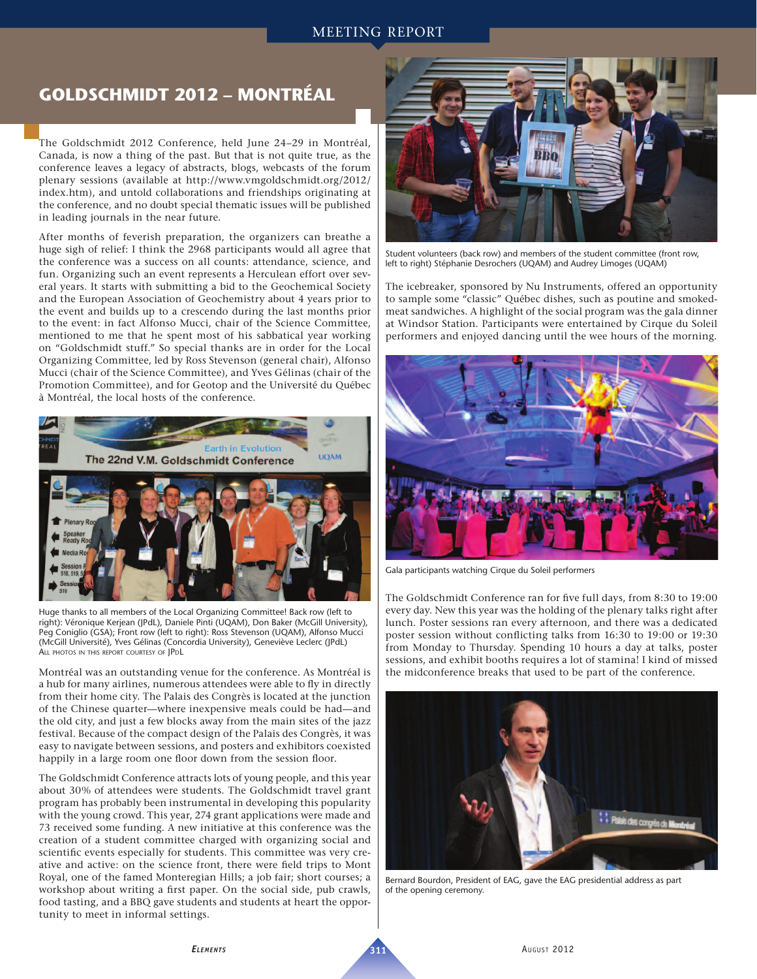## MEETING REPORT

## **GOLDSCHMIDT 2012 – MONTRÉAL**

The Goldschmidt 2012 Conference, held June 24–29 in Montréal, Canada, is now a thing of the past. But that is not quite true, as the conference leaves a legacy of abstracts, blogs, webcasts of the forum plenary sessions (available at http://www.vmgoldschmidt.org/2012/ index.htm), and untold collaborations and friendships originating at the conference, and no doubt special thematic issues will be published in leading journals in the near future.

After months of feverish preparation, the organizers can breathe a huge sigh of relief: I think the 2968 participants would all agree that the conference was a success on all counts: attendance, science, and fun. Organizing such an event represents a Herculean effort over several years. It starts with submitting a bid to the Geochemical Society and the European Association of Geochemistry about 4 years prior to the event and builds up to a crescendo during the last months prior to the event: in fact Alfonso Mucci, chair of the Science Committee, mentioned to me that he spent most of his sabbatical year working on "Goldschmidt stuff." So special thanks are in order for the Local Organizing Committee, led by Ross Stevenson (general chair), Alfonso Mucci (chair of the Science Committee), and Yves Gélinas (chair of the Promotion Committee), and for Geotop and the Université du Québec à Montréal, the local hosts of the conference.



Huge thanks to all members of the Local Organizing Committee! Back row (left to right): Véronique Kerjean (JPdL), Daniele Pinti (UQAM), Don Baker (McGill University), Peg Coniglio (GSA); Front row (left to right): Ross Stevenson (UQAM), Alfonso Mucci (McGill Université), Yves Gélinas (Concordia University), Geneviève Leclerc (JPdL) ALL PHOTOS IN THIS REPORT COURTESY OF JPDL

Montréal was an outstanding venue for the conference. As Montréal is a hub for many airlines, numerous attendees were able to fly in directly from their home city. The Palais des Congrès is located at the junction of the Chinese quarter—where inexpensive meals could be had—and the old city, and just a few blocks away from the main sites of the jazz festival. Because of the compact design of the Palais des Congrès, it was easy to navigate between sessions, and posters and exhibitors coexisted happily in a large room one floor down from the session floor.

The Goldschmidt Conference attracts lots of young people, and this year about 30% of attendees were students. The Goldschmidt travel grant program has probably been instrumental in developing this popularity with the young crowd. This year, 274 grant applications were made and 73 received some funding. A new initiative at this conference was the creation of a student committee charged with organizing social and scientific events especially for students. This committee was very creative and active: on the science front, there were field trips to Mont Royal, one of the famed Monteregian Hills; a job fair; short courses; a workshop about writing a first paper. On the social side, pub crawls, food tasting, and a BBQ gave students and students at heart the opportunity to meet in informal settings.



Student volunteers (back row) and members of the student committee (front row, left to right) Stéphanie Desrochers (UQAM) and Audrey Limoges (UQAM)

The icebreaker, sponsored by Nu Instruments, offered an opportunity to sample some "classic" Québec dishes, such as poutine and smokedmeat sandwiches. A highlight of the social program was the gala dinner at Windsor Station. Participants were entertained by Cirque du Soleil performers and enjoyed dancing until the wee hours of the morning.



Gala participants watching Cirque du Soleil performers

The Goldschmidt Conference ran for five full days, from 8:30 to 19:00 every day. New this year was the holding of the plenary talks right after lunch. Poster sessions ran every afternoon, and there was a dedicated poster session without conflicting talks from 16:30 to 19:00 or 19:30 from Monday to Thursday. Spending 10 hours a day at talks, poster sessions, and exhibit booths requires a lot of stamina! I kind of missed the midconference breaks that used to be part of the conference.



Bernard Bourdon, President of EAG, gave the EAG presidential address as part of the opening ceremony.